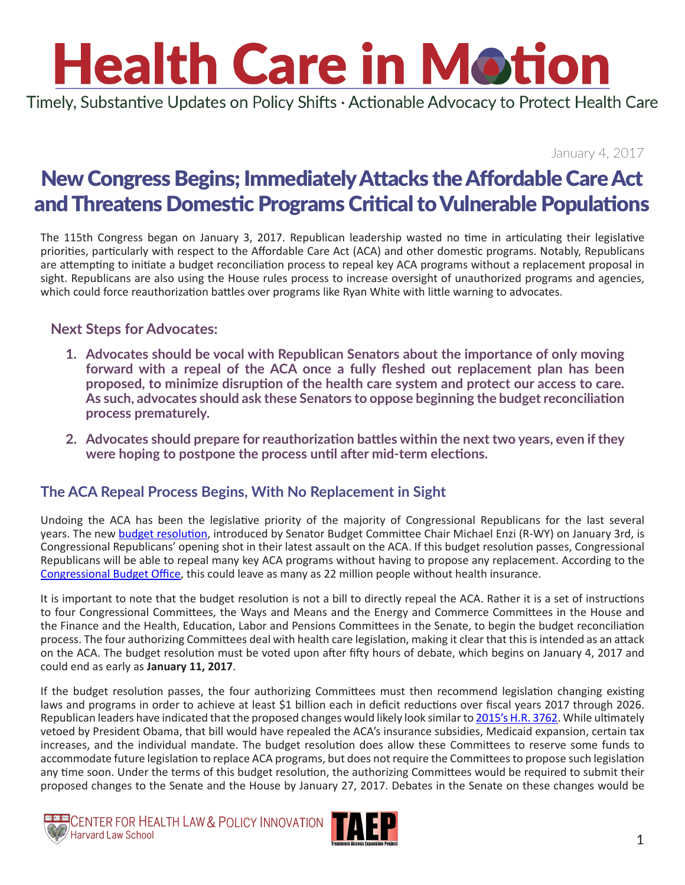# **Health Care in Motion**

Timely, Substantive Updates on Policy Shifts · Actionable Advocacy to Protect Health Care

January 4, 2017

### New Congress Begins; Immediately Attacks the Affordable Care Act and Threatens Domestic Programs Critical to Vulnerable Populations

The 115th Congress began on January 3, 2017. Republican leadership wasted no time in articulating their legislative priorities, particularly with respect to the Affordable Care Act (ACA) and other domestic programs. Notably, Republicans are attempting to initiate a budget reconciliation process to repeal key ACA programs without a replacement proposal in sight. Republicans are also using the House rules process to increase oversight of unauthorized programs and agencies, which could force reauthorization battles over programs like Ryan White with little warning to advocates.

#### **Next Steps for Advocates:**

- **1. Advocates should be vocal with Republican Senators about the importance of only moving forward with a repeal of the ACA once a fully fleshed out replacement plan has been proposed, to minimize disruption of the health care system and protect our access to care. As such, advocates should ask these Senators to oppose beginning the budget reconciliation process prematurely.**
- **2. Advocates should prepare for reauthorization battles within the next two years, even if they were hoping to postpone the process until after mid-term elections.**

#### **The ACA Repeal Process Begins, With No Replacement in Sight**

Undoing the ACA has been the legislative priority of the majority of Congressional Republicans for the last several years. The new [budget resolution](http://www.budget.senate.gov/imo/media/doc/HEN17065.pdf), introduced by Senator Budget Committee Chair Michael Enzi (R-WY) on January 3rd, is Congressional Republicans' opening shot in their latest assault on the ACA. If this budget resolution passes, Congressional Republicans will be able to repeal many key ACA programs without having to propose any replacement. According to the [Congressional Budget Office,](https://www.cbo.gov/sites/default/files/114th-congress-2015-2016/costestimate/hr3762senatepassed.pdf) this could leave as many as 22 million people without health insurance.

It is important to note that the budget resolution is not a bill to directly repeal the ACA. Rather it is a set of instructions to four Congressional Committees, the Ways and Means and the Energy and Commerce Committees in the House and the Finance and the Health, Education, Labor and Pensions Committees in the Senate, to begin the budget reconciliation process. The four authorizing Committees deal with health care legislation, making it clear that this is intended as an attack on the ACA. The budget resolution must be voted upon after fifty hours of debate, which begins on January 4, 2017 and could end as early as **January 11, 2017**.

If the budget resolution passes, the four authorizing Committees must then recommend legislation changing existing laws and programs in order to achieve at least \$1 billion each in deficit reductions over fiscal years 2017 through 2026. Republican leaders have indicated that the proposed changes would likely look similar to [2015's H.R. 3762.](https://www.govtrack.us/congress/bills/114/hr3762/summary) While ultimately vetoed by President Obama, that bill would have repealed the ACA's insurance subsidies, Medicaid expansion, certain tax increases, and the individual mandate. The budget resolution does allow these Committees to reserve some funds to accommodate future legislation to replace ACA programs, but does not require the Committees to propose such legislation any time soon. Under the terms of this budget resolution, the authorizing Committees would be required to submit their proposed changes to the Senate and the House by January 27, 2017. Debates in the Senate on these changes would be



CENTER FOR HEALTH LAW & POLICY INNOVATION Harvard Law School

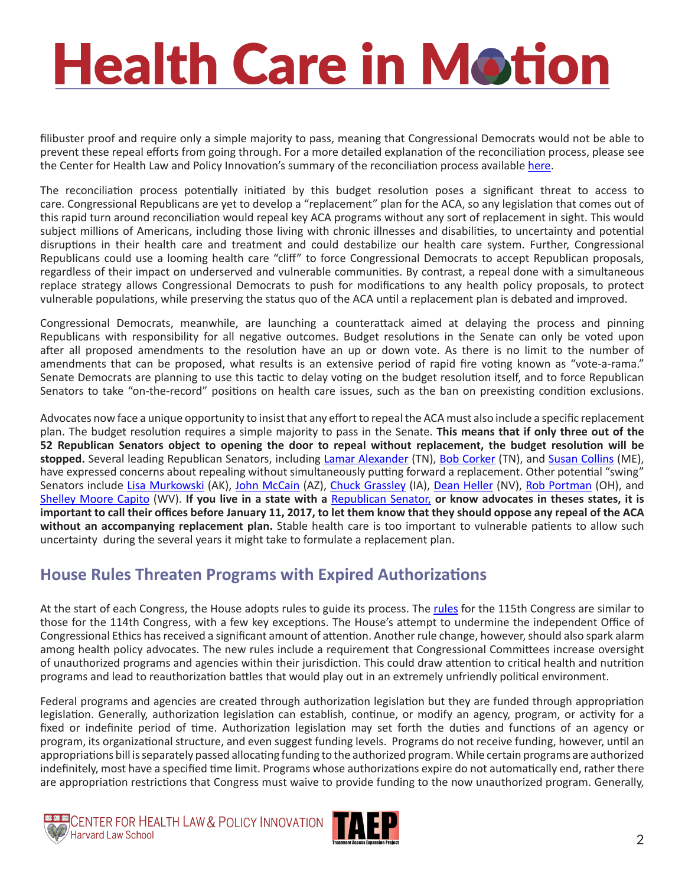## **Health Care in Motion**

filibuster proof and require only a simple majority to pass, meaning that Congressional Democrats would not be able to prevent these repeal efforts from going through. For a more detailed explanation of the reconciliation process, please see the Center for Health Law and Policy Innovation's summary of the reconciliation process available [here.](http://www.chlpi.org/wp-content/uploads/2013/12/Repeal-Reconciliation-and-Review-circulation2.pdf)

The reconciliation process potentially initiated by this budget resolution poses a significant threat to access to care. Congressional Republicans are yet to develop a "replacement" plan for the ACA, so any legislation that comes out of this rapid turn around reconciliation would repeal key ACA programs without any sort of replacement in sight. This would subject millions of Americans, including those living with chronic illnesses and disabilities, to uncertainty and potential disruptions in their health care and treatment and could destabilize our health care system. Further, Congressional Republicans could use a looming health care "cliff" to force Congressional Democrats to accept Republican proposals, regardless of their impact on underserved and vulnerable communities. By contrast, a repeal done with a simultaneous replace strategy allows Congressional Democrats to push for modifications to any health policy proposals, to protect vulnerable populations, while preserving the status quo of the ACA until a replacement plan is debated and improved.

Congressional Democrats, meanwhile, are launching a counterattack aimed at delaying the process and pinning Republicans with responsibility for all negative outcomes. Budget resolutions in the Senate can only be voted upon after all proposed amendments to the resolution have an up or down vote. As there is no limit to the number of amendments that can be proposed, what results is an extensive period of rapid fire voting known as "vote-a-rama." Senate Democrats are planning to use this tactic to delay voting on the budget resolution itself, and to force Republican Senators to take "on-the-record" positions on health care issues, such as the ban on preexisting condition exclusions.

Advocates now face a unique opportunity to insist that any effort to repeal the ACA must also include a specific replacement plan. The budget resolution requires a simple majority to pass in the Senate. **This means that if only three out of the 52 Republican Senators object to opening the door to repeal without replacement, the budget resolution will be**  stopped. Several leading Republican Senators, including [Lamar Alexander](http://www.alexander.senate.gov/public/index.cfm/officelocations) (TN), [Bob Corker](https://www.corker.senate.gov/public/index.cfm/officelocations) (TN), and [Susan Collins](https://www.collins.senate.gov/contact) (ME), have expressed concerns about repealing without simultaneously putting forward a replacement. Other potential "swing" Senators include [Lisa Murkowski](https://www.murkowski.senate.gov/contact) (AK), [John McCain](http://www.mccain.senate.gov/public/index.cfm/office-locations) (AZ), [Chuck Grassley](http://www.grassley.senate.gov/contact) (IA), [Dean Heller](http://www.heller.senate.gov/public/index.cfm/offices) (NV), [Rob Portman](http://www.portman.senate.gov/public/index.cfm/office-locations) (OH), and [Shelley Moore Capito](https://www.capito.senate.gov/contact/office-locations) (WV). **If you live in a state with a** [Republican Senator,](http://www.senate.gov/general/contact_information/senators_cfm.cfm?OrderBy=party&Sort=ASC) **or know advocates in theses states, it is important to call their offices before January 11, 2017, to let them know that they should oppose any repeal of the ACA without an accompanying replacement plan.** Stable health care is too important to vulnerable patients to allow such uncertainty during the several years it might take to formulate a replacement plan.

### **House Rules Threaten Programs with Expired Authorizations**

At the start of each Congress, the House adopts [rules](http://docs.house.gov/billsthisweek/20170102/BILLS-115hres5-PIH-FINAL.pdf) to guide its process. The rules for the 115th Congress are similar to those for the 114th Congress, with a few key exceptions. The House's attempt to undermine the independent Office of Congressional Ethics has received a significant amount of attention. Another rule change, however, should also spark alarm among health policy advocates. The new rules include a requirement that Congressional Committees increase oversight of unauthorized programs and agencies within their jurisdiction. This could draw attention to critical health and nutrition programs and lead to reauthorization battles that would play out in an extremely unfriendly political environment.

Federal programs and agencies are created through authorization legislation but they are funded through appropriation legislation. Generally, authorization legislation can establish, continue, or modify an agency, program, or activity for a fixed or indefinite period of time. Authorization legislation may set forth the duties and functions of an agency or program, its organizational structure, and even suggest funding levels. Programs do not receive funding, however, until an appropriations bill is separately passed allocating funding to the authorized program. While certain programs are authorized indefinitely, most have a specified time limit. Programs whose authorizations expire do not automatically end, rather there are appropriation restrictions that Congress must waive to provide funding to the now unauthorized program. Generally,



**CENTER FOR HEALTH LAW & POLICY INNOVATION**<br>We Harvard Law School